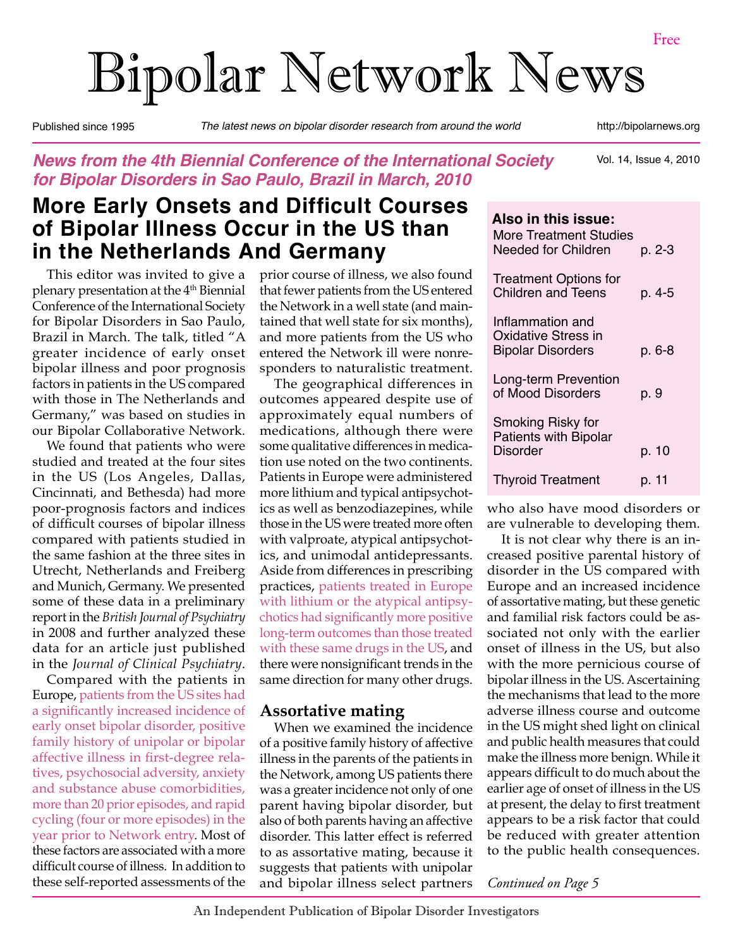# Bipolar Network News

Published since 1995 *The latest news on bipolar disorder research from around the world* http://bipolarnews.org

### *News from the 4th Biennial Conference of the International Society for Bipolar Disorders in Sao Paulo, Brazil in March, 2010*

Vol. 14, Issue 4, 2010

# **More Early Onsets and Difficult Courses of Bipolar Illness Occur in the US than in the Netherlands And Germany**

This editor was invited to give a plenary presentation at the 4<sup>th</sup> Biennial Conference of the International Society for Bipolar Disorders in Sao Paulo, Brazil in March. The talk, titled "A greater incidence of early onset bipolar illness and poor prognosis factors in patients in the US compared with those in The Netherlands and Germany," was based on studies in our Bipolar Collaborative Network.

We found that patients who were studied and treated at the four sites in the US (Los Angeles, Dallas, Cincinnati, and Bethesda) had more poor-prognosis factors and indices of difficult courses of bipolar illness compared with patients studied in the same fashion at the three sites in Utrecht, Netherlands and Freiberg and Munich, Germany. We presented some of these data in a preliminary report in the *British Journal of Psychiatry* in 2008 and further analyzed these data for an article just published in the *Journal of Clinical Psychiatry*.

Compared with the patients in Europe, patients from the US sites had a significantly increased incidence of early onset bipolar disorder, positive family history of unipolar or bipolar affective illness in first-degree relatives, psychosocial adversity, anxiety and substance abuse comorbidities, more than 20 prior episodes, and rapid cycling (four or more episodes) in the year prior to Network entry. Most of these factors are associated with a more difficult course of illness. In addition to these self-reported assessments of the

prior course of illness, we also found that fewer patients from the US entered the Network in a well state (and maintained that well state for six months), and more patients from the US who entered the Network ill were nonresponders to naturalistic treatment.

The geographical differences in outcomes appeared despite use of approximately equal numbers of medications, although there were some qualitative differences in medication use noted on the two continents. Patients in Europe were administered more lithium and typical antipsychotics as well as benzodiazepines, while those in the US were treated more often with valproate, atypical antipsychotics, and unimodal antidepressants. Aside from differences in prescribing practices, patients treated in Europe with lithium or the atypical antipsychotics had significantly more positive long-term outcomes than those treated with these same drugs in the US, and there were nonsignificant trends in the same direction for many other drugs.

#### **Assortative mating**

When we examined the incidence of a positive family history of affective illness in the parents of the patients in the Network, among US patients there was a greater incidence not only of one parent having bipolar disorder, but also of both parents having an affective disorder. This latter effect is referred to as assortative mating, because it suggests that patients with unipolar and bipolar illness select partners

| Also in this issue:<br>More Treatment Studies<br>Needed for Children | p. 2-3 |
|----------------------------------------------------------------------|--------|
| <b>Treatment Options for</b><br><b>Children and Teens</b>            | p. 4-5 |
| Inflammation and<br>Oxidative Stress in<br><b>Bipolar Disorders</b>  | p. 6-8 |
| Long-term Prevention<br>of Mood Disorders                            | p. 9   |
| Smoking Risky for<br><b>Patients with Bipolar</b><br>Disorder        | p. 10  |
| <b>Thyroid Treatment</b>                                             | p. 11  |

who also have mood disorders or are vulnerable to developing them.

It is not clear why there is an increased positive parental history of disorder in the US compared with Europe and an increased incidence of assortative mating, but these genetic and familial risk factors could be associated not only with the earlier onset of illness in the US, but also with the more pernicious course of bipolar illness in the US. Ascertaining the mechanisms that lead to the more adverse illness course and outcome in the US might shed light on clinical and public health measures that could make the illness more benign. While it appears difficult to do much about the earlier age of onset of illness in the US at present, the delay to first treatment appears to be a risk factor that could be reduced with greater attention to the public health consequences.

*Continued on Page 5*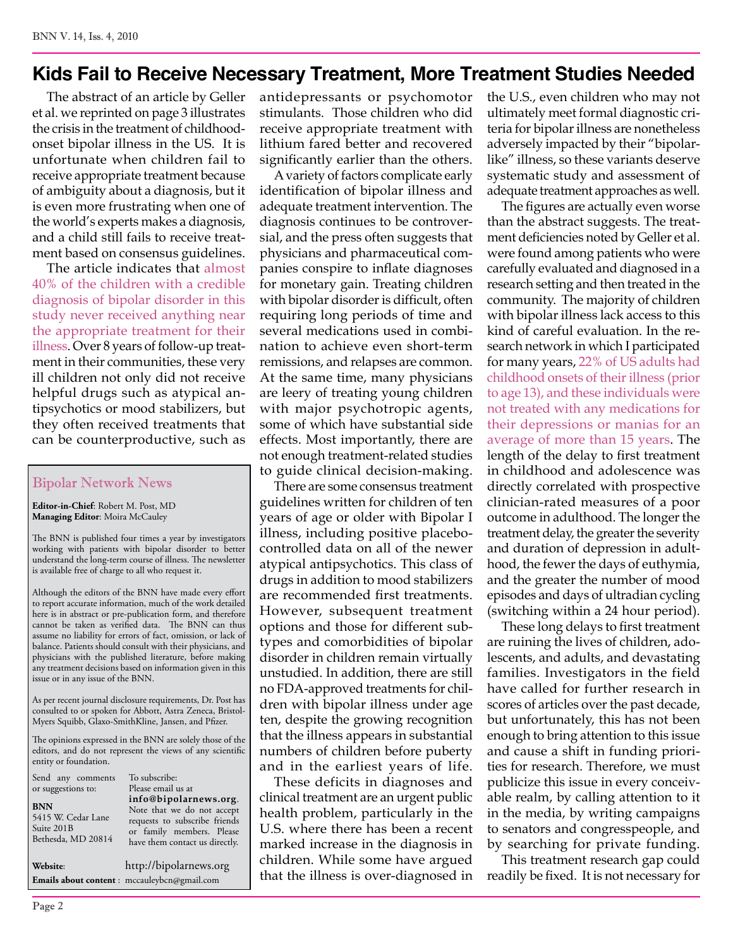### **Kids Fail to Receive Necessary Treatment, More Treatment Studies Needed**

The abstract of an article by Geller et al. we reprinted on page 3 illustrates the crisis in the treatment of childhoodonset bipolar illness in the US. It is unfortunate when children fail to receive appropriate treatment because of ambiguity about a diagnosis, but it is even more frustrating when one of the world's experts makes a diagnosis, and a child still fails to receive treatment based on consensus guidelines.

The article indicates that almost 40% of the children with a credible diagnosis of bipolar disorder in this study never received anything near the appropriate treatment for their illness. Over 8 years of follow-up treatment in their communities, these very ill children not only did not receive helpful drugs such as atypical antipsychotics or mood stabilizers, but they often received treatments that can be counterproductive, such as

#### Bipolar Network News

**Editor-in-Chief**: Robert M. Post, MD **Managing Editor**: Moira McCauley

The BNN is published four times a year by investigators working with patients with bipolar disorder to better understand the long-term course of illness. The newsletter is available free of charge to all who request it.

Although the editors of the BNN have made every effort to report accurate information, much of the work detailed here is in abstract or pre-publication form, and therefore cannot be taken as verified data. The BNN can thus assume no liability for errors of fact, omission, or lack of balance. Patients should consult with their physicians, and physicians with the published literature, before making any treatment decisions based on information given in this issue or in any issue of the BNN.

As per recent journal disclosure requirements, Dr. Post has consulted to or spoken for Abbott, Astra Zeneca, Bristol-Myers Squibb, Glaxo-SmithKline, Jansen, and Pfizer.

The opinions expressed in the BNN are solely those of the editors, and do not represent the views of any scientific entity or foundation.

| Send any comments<br>or suggestions to:<br><b>BNN</b><br>5415 W. Cedar Lane<br>Suite 201B<br>Bethesda, MD 20814 | To subscribe:<br>Please email us at<br>info@bipolarnews.org.<br>Note that we do not accept<br>requests to subscribe friends<br>or family members. Please<br>have them contact us directly. |
|-----------------------------------------------------------------------------------------------------------------|--------------------------------------------------------------------------------------------------------------------------------------------------------------------------------------------|
| Website:                                                                                                        | http://bipolarnews.org                                                                                                                                                                     |
|                                                                                                                 | Emails about content : mccauleybcn@gmail.com                                                                                                                                               |

antidepressants or psychomotor stimulants. Those children who did receive appropriate treatment with lithium fared better and recovered significantly earlier than the others.

A variety of factors complicate early identification of bipolar illness and adequate treatment intervention. The diagnosis continues to be controversial, and the press often suggests that physicians and pharmaceutical companies conspire to inflate diagnoses for monetary gain. Treating children with bipolar disorder is difficult, often requiring long periods of time and several medications used in combination to achieve even short-term remissions, and relapses are common. At the same time, many physicians are leery of treating young children with major psychotropic agents, some of which have substantial side effects. Most importantly, there are not enough treatment-related studies to guide clinical decision-making.

There are some consensus treatment guidelines written for children of ten years of age or older with Bipolar I illness, including positive placebocontrolled data on all of the newer atypical antipsychotics. This class of drugs in addition to mood stabilizers are recommended first treatments. However, subsequent treatment options and those for different subtypes and comorbidities of bipolar disorder in children remain virtually unstudied. In addition, there are still no FDA-approved treatments for children with bipolar illness under age ten, despite the growing recognition that the illness appears in substantial numbers of children before puberty and in the earliest years of life.

These deficits in diagnoses and clinical treatment are an urgent public health problem, particularly in the U.S. where there has been a recent marked increase in the diagnosis in children. While some have argued that the illness is over-diagnosed in the U.S., even children who may not ultimately meet formal diagnostic criteria for bipolar illness are nonetheless adversely impacted by their "bipolarlike" illness, so these variants deserve systematic study and assessment of adequate treatment approaches as well.

The figures are actually even worse than the abstract suggests. The treatment deficiencies noted by Geller et al. were found among patients who were carefully evaluated and diagnosed in a research setting and then treated in the community. The majority of children with bipolar illness lack access to this kind of careful evaluation. In the research network in which I participated for many years, 22% of US adults had childhood onsets of their illness (prior to age 13), and these individuals were not treated with any medications for their depressions or manias for an average of more than 15 years. The length of the delay to first treatment in childhood and adolescence was directly correlated with prospective clinician-rated measures of a poor outcome in adulthood. The longer the treatment delay, the greater the severity and duration of depression in adulthood, the fewer the days of euthymia, and the greater the number of mood episodes and days of ultradian cycling (switching within a 24 hour period).

These long delays to first treatment are ruining the lives of children, adolescents, and adults, and devastating families. Investigators in the field have called for further research in scores of articles over the past decade, but unfortunately, this has not been enough to bring attention to this issue and cause a shift in funding priorities for research. Therefore, we must publicize this issue in every conceivable realm, by calling attention to it in the media, by writing campaigns to senators and congresspeople, and by searching for private funding.

This treatment research gap could readily be fixed. It is not necessary for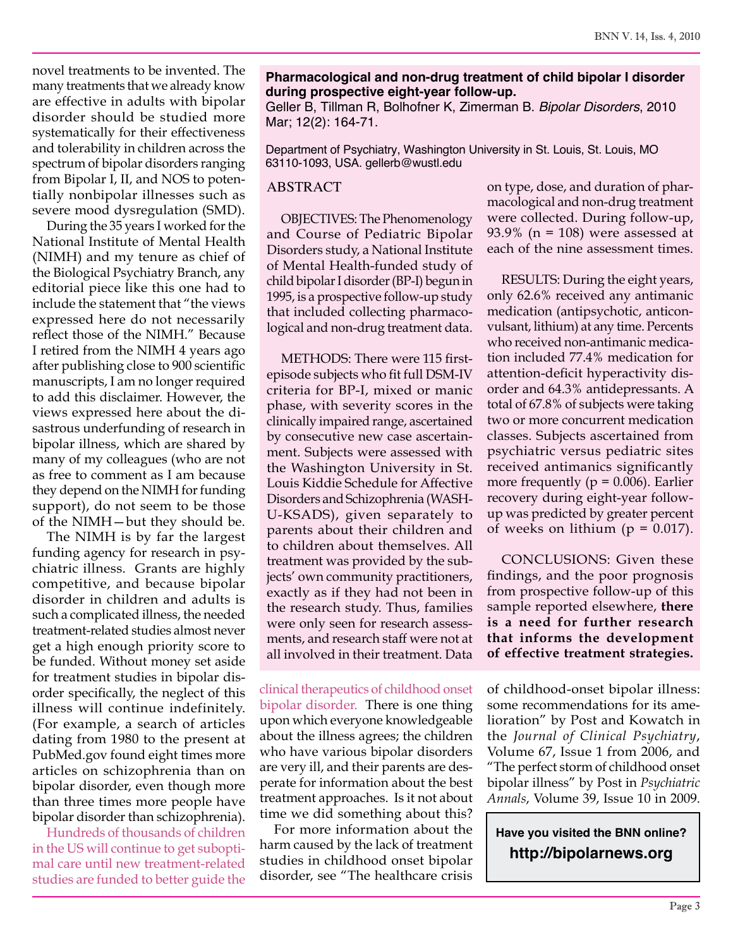novel treatments to be invented. The many treatments that we already know are effective in adults with bipolar disorder should be studied more systematically for their effectiveness and tolerability in children across the spectrum of bipolar disorders ranging from Bipolar I, II, and NOS to potentially nonbipolar illnesses such as severe mood dysregulation (SMD).

During the 35 years I worked for the National Institute of Mental Health (NIMH) and my tenure as chief of the Biological Psychiatry Branch, any editorial piece like this one had to include the statement that "the views expressed here do not necessarily reflect those of the NIMH." Because I retired from the NIMH 4 years ago after publishing close to 900 scientific manuscripts, I am no longer required to add this disclaimer. However, the views expressed here about the disastrous underfunding of research in bipolar illness, which are shared by many of my colleagues (who are not as free to comment as I am because they depend on the NIMH for funding support), do not seem to be those of the NIMH—but they should be.

The NIMH is by far the largest funding agency for research in psychiatric illness. Grants are highly competitive, and because bipolar disorder in children and adults is such a complicated illness, the needed treatment-related studies almost never get a high enough priority score to be funded. Without money set aside for treatment studies in bipolar disorder specifically, the neglect of this illness will continue indefinitely. (For example, a search of articles dating from 1980 to the present at PubMed.gov found eight times more articles on schizophrenia than on bipolar disorder, even though more than three times more people have bipolar disorder than schizophrenia).

Hundreds of thousands of children in the US will continue to get suboptimal care until new treatment-related studies are funded to better guide the

#### **Pharmacological and non-drug treatment of child bipolar I disorder during prospective eight-year follow-up.**

Geller B, Tillman R, Bolhofner K, Zimerman B. *Bipolar Disorders*, 2010 Mar; 12(2): 164-71.

Department of Psychiatry, Washington University in St. Louis, St. Louis, MO 63110-1093, USA. gellerb@wustl.edu

#### ABSTRACT

OBJECTIVES: The Phenomenology and Course of Pediatric Bipolar Disorders study, a National Institute of Mental Health-funded study of child bipolar I disorder (BP-I) begun in 1995, is a prospective follow-up study that included collecting pharmacological and non-drug treatment data.

METHODS: There were 115 firstepisode subjects who fit full DSM-IV criteria for BP-I, mixed or manic phase, with severity scores in the clinically impaired range, ascertained by consecutive new case ascertainment. Subjects were assessed with the Washington University in St. Louis Kiddie Schedule for Affective Disorders and Schizophrenia (WASH-U-KSADS), given separately to parents about their children and to children about themselves. All treatment was provided by the subjects' own community practitioners, exactly as if they had not been in the research study. Thus, families were only seen for research assessments, and research staff were not at all involved in their treatment. Data

clinical therapeutics of childhood onset bipolar disorder. There is one thing upon which everyone knowledgeable about the illness agrees; the children who have various bipolar disorders are very ill, and their parents are desperate for information about the best treatment approaches. Is it not about time we did something about this?

For more information about the harm caused by the lack of treatment studies in childhood onset bipolar disorder, see "The healthcare crisis on type, dose, and duration of pharmacological and non-drug treatment were collected. During follow-up, 93.9% ( $n = 108$ ) were assessed at each of the nine assessment times.

RESULTS: During the eight years, only 62.6% received any antimanic medication (antipsychotic, anticonvulsant, lithium) at any time. Percents who received non-antimanic medication included 77.4% medication for attention-deficit hyperactivity disorder and 64.3% antidepressants. A total of 67.8% of subjects were taking two or more concurrent medication classes. Subjects ascertained from psychiatric versus pediatric sites received antimanics significantly more frequently ( $p = 0.006$ ). Earlier recovery during eight-year followup was predicted by greater percent of weeks on lithium ( $p = 0.017$ ).

CONCLUSIONS: Given these findings, and the poor prognosis from prospective follow-up of this sample reported elsewhere, **there is a need for further research that informs the development of effective treatment strategies.**

of childhood-onset bipolar illness: some recommendations for its amelioration" by Post and Kowatch in the *Journal of Clinical Psychiatry*, Volume 67, Issue 1 from 2006, and "The perfect storm of childhood onset bipolar illness" by Post in *Psychiatric Annals*, Volume 39, Issue 10 in 2009.

**Have you visited the BNN online? http://bipolarnews.org**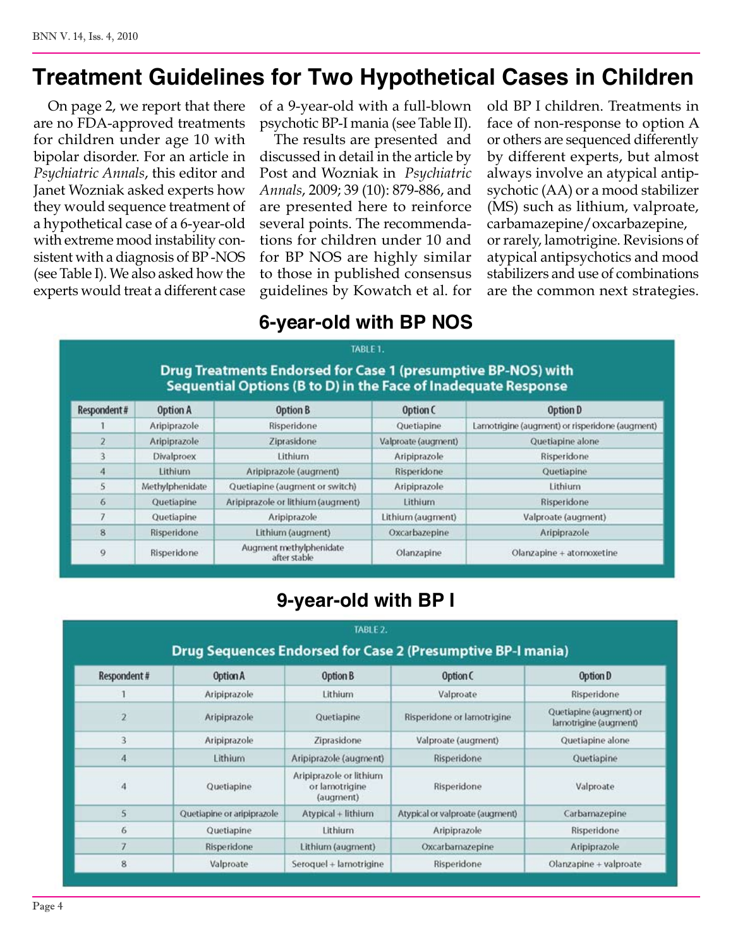# **Treatment Guidelines for Two Hypothetical Cases in Children**

On page 2, we report that there are no FDA-approved treatments for children under age 10 with bipolar disorder. For an article in *Psychiatric Annals*, this editor and Janet Wozniak asked experts how they would sequence treatment of a hypothetical case of a 6-year-old with extreme mood instability consistent with a diagnosis of BP -NOS (see Table I). We also asked how the experts would treat a different case of a 9-year-old with a full-blown psychotic BP-I mania (see Table II).

The results are presented and discussed in detail in the article by Post and Wozniak in *Psychiatric Annals*, 2009; 39 (10): 879-886, and are presented here to reinforce several points. The recommendations for children under 10 and for BP NOS are highly similar to those in published consensus guidelines by Kowatch et al. for old BP I children. Treatments in face of non-response to option A or others are sequenced differently by different experts, but almost always involve an atypical antipsychotic (AA) or a mood stabilizer (MS) such as lithium, valproate, carbamazepine/oxcarbazepine, or rarely, lamotrigine. Revisions of atypical antipsychotics and mood stabilizers and use of combinations are the common next strategies.

### **6-year-old with BP NOS**

### Drug Treatments Endorsed for Case 1 (presumptive BP-NOS) with Sequential Options (B to D) in the Face of Inadequate Response

TABLE 1.

| Respondent# | Option A          | Option B                                | Option C            | Option D                                       |
|-------------|-------------------|-----------------------------------------|---------------------|------------------------------------------------|
|             | Aripiprazole      | Risperidone                             | Quetiapine          | Lamotrigine (augment) or risperidone (augment) |
|             | Aripiprazole      | Ziprasidone                             | Valproate (augment) | Quetiapine alone                               |
|             | <b>Divalproex</b> | Lithium                                 | Aripiprazole        | Risperidone                                    |
| 4           | <b>Lithium</b>    | Aripiprazole (augment)                  | <b>Risperidone</b>  | Quetiapine                                     |
| 5           | Methylphenidate   | Quetiapine (augment or switch)          | Aripiprazole        | Lithium                                        |
| 6           | Quetiapine        | Aripiprazole or lithium (augment)       | Lithium             | Risperidone                                    |
|             | Quetiapine        | Aripiprazole                            | Lithium (augment)   | Valproate (augment)                            |
| 8           | Risperidone       | Lithium (augment)                       | Oxcarbazepine       | Aripiprazole                                   |
| 9           | Risperidone       | Augment methylphenidate<br>after stable | Olanzapine          | Olanzapine + atomoxetine                       |

### **9-year-old with BP I**

|                | TABLE 2.<br><b>Drug Sequences Endorsed for Case 2 (Presumptive BP-I mania)</b> |                                                        |                                 |                                                  |  |
|----------------|--------------------------------------------------------------------------------|--------------------------------------------------------|---------------------------------|--------------------------------------------------|--|
| Respondent#    | Option A                                                                       | Option B                                               | Option C                        | Option D                                         |  |
|                | Aripiprazole                                                                   | Lithium                                                | Valproate                       | Risperidone                                      |  |
| $\overline{2}$ | Aripiprazole                                                                   | Quetiapine                                             | Risperidone or lamotrigine      | Quetiapine (augment) or<br>lamotrigine (augment) |  |
| 3              | Aripiprazole                                                                   | Ziprasidone                                            | Valproate (augment)             | Quetiapine alone                                 |  |
| 4              | Lithium                                                                        | Aripiprazole (augment)                                 | Risperidone                     | Quetiapine                                       |  |
| 4              | Quetiapine                                                                     | Aripiprazole or lithium<br>or lamotrigine<br>(augment) | Risperidone                     | Valproate                                        |  |
| 5              | Quetiapine or aripiprazole                                                     | Atypical + lithium                                     | Atypical or valproate (augment) | Carbamazepine                                    |  |
| 6              | Quetiapine                                                                     | Lithium.                                               | Aripiprazole                    | Risperidone                                      |  |
| 7              | Risperidone                                                                    | Lithium (augment)                                      | Oxcarbamazepine                 | Aripiprazole                                     |  |
| 8              | Valproate                                                                      | Seroquel + lamotrigine                                 | Risperidone                     | Olanzapine + valproate                           |  |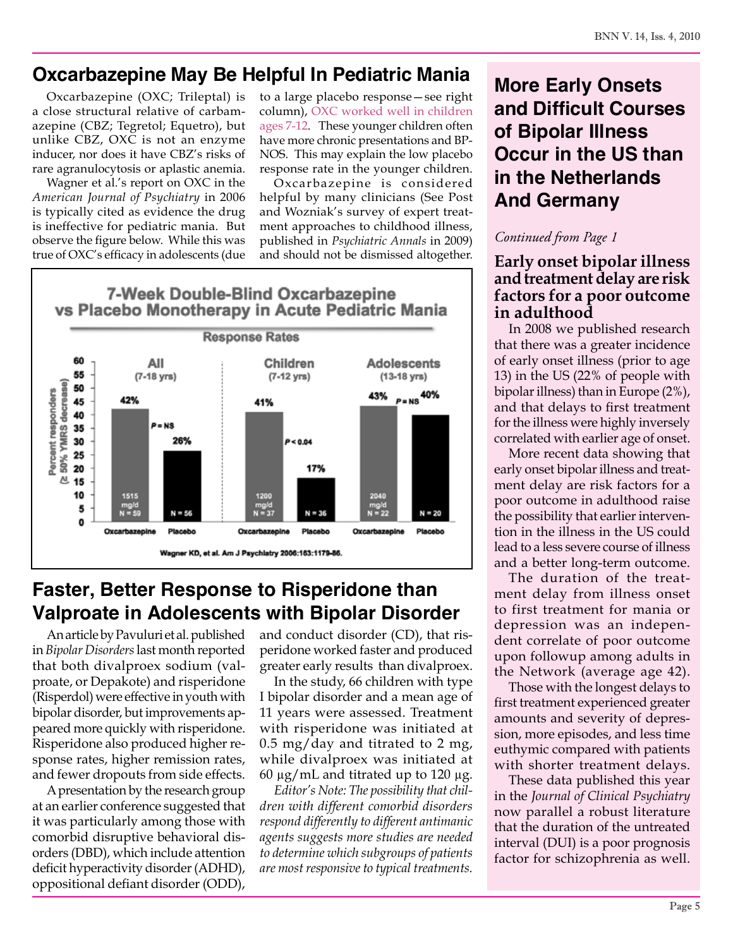### **Oxcarbazepine May Be Helpful In Pediatric Mania**

Oxcarbazepine (OXC; Trileptal) is a close structural relative of carbamazepine (CBZ; Tegretol; Equetro), but unlike CBZ, OXC is not an enzyme inducer, nor does it have CBZ's risks of rare agranulocytosis or aplastic anemia.

Wagner et al.'s report on OXC in the *American Journal of Psychiatry* in 2006 is typically cited as evidence the drug is ineffective for pediatric mania. But observe the figure below. While this was true of OXC's efficacy in adolescents (due

to a large placebo response—see right column), OXC worked well in children ages 7-12. These younger children often have more chronic presentations and BP-NOS. This may explain the low placebo response rate in the younger children.

Oxcarbazepine is considered helpful by many clinicians (See Post and Wozniak's survey of expert treatment approaches to childhood illness, published in *Psychiatric Annals* in 2009) and should not be dismissed altogether.



# **Faster, Better Response to Risperidone than Valproate in Adolescents with Bipolar Disorder**

An article by Pavuluri et al. published in *Bipolar Disorders* last month reported that both divalproex sodium (valproate, or Depakote) and risperidone (Risperdol) were effective in youth with bipolar disorder, but improvements appeared more quickly with risperidone. Risperidone also produced higher response rates, higher remission rates, and fewer dropouts from side effects.

A presentation by the research group at an earlier conference suggested that it was particularly among those with comorbid disruptive behavioral disorders (DBD), which include attention deficit hyperactivity disorder (ADHD), oppositional defiant disorder (ODD),

and conduct disorder (CD), that risperidone worked faster and produced greater early results than divalproex.

In the study, 66 children with type I bipolar disorder and a mean age of 11 years were assessed. Treatment with risperidone was initiated at  $0.5 \text{ mg/day}$  and titrated to 2 mg, while divalproex was initiated at 60 μg/mL and titrated up to 120 μg.

*Editor's Note: The possibility that children with different comorbid disorders respond differently to different antimanic agents suggests more studies are needed to determine which subgroups of patients are most responsive to typical treatments.*

# **More Early Onsets and Difficult Courses of Bipolar Illness Occur in the US than in the Netherlands And Germany**

### *Continued from Page 1*

### **Early onset bipolar illness and treatment delay are risk factors for a poor outcome in adulthood**

In 2008 we published research that there was a greater incidence of early onset illness (prior to age 13) in the US (22% of people with bipolar illness) than in Europe (2%), and that delays to first treatment for the illness were highly inversely correlated with earlier age of onset.

More recent data showing that early onset bipolar illness and treatment delay are risk factors for a poor outcome in adulthood raise the possibility that earlier intervention in the illness in the US could lead to a less severe course of illness and a better long-term outcome.

The duration of the treatment delay from illness onset to first treatment for mania or depression was an independent correlate of poor outcome upon followup among adults in the Network (average age 42).

Those with the longest delays to first treatment experienced greater amounts and severity of depression, more episodes, and less time euthymic compared with patients with shorter treatment delays.

These data published this year in the *Journal of Clinical Psychiatry* now parallel a robust literature that the duration of the untreated interval (DUI) is a poor prognosis factor for schizophrenia as well.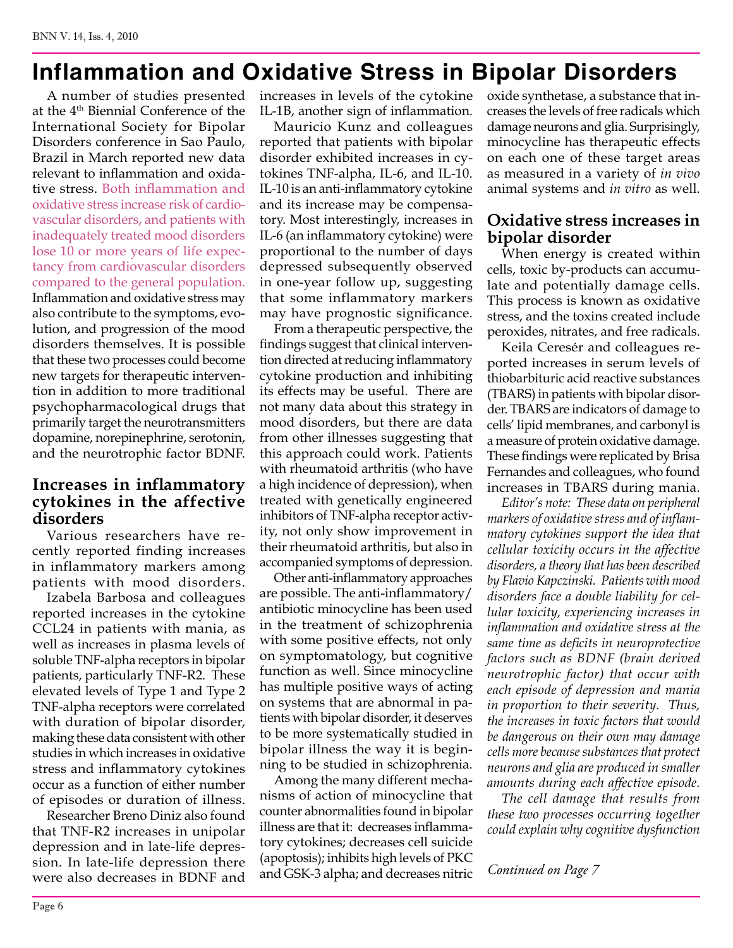# **Inflammation and Oxidative Stress in Bipolar Disorders**

A number of studies presented at the 4<sup>th</sup> Biennial Conference of the International Society for Bipolar Disorders conference in Sao Paulo, Brazil in March reported new data relevant to inflammation and oxidative stress. Both inflammation and oxidative stress increase risk of cardiovascular disorders, and patients with inadequately treated mood disorders lose 10 or more years of life expectancy from cardiovascular disorders compared to the general population. Inflammation and oxidative stress may also contribute to the symptoms, evolution, and progression of the mood disorders themselves. It is possible that these two processes could become new targets for therapeutic intervention in addition to more traditional psychopharmacological drugs that primarily target the neurotransmitters dopamine, norepinephrine, serotonin, and the neurotrophic factor BDNF.

### **Increases in inflammatory cytokines in the affective disorders**

Various researchers have recently reported finding increases in inflammatory markers among patients with mood disorders.

Izabela Barbosa and colleagues reported increases in the cytokine CCL24 in patients with mania, as well as increases in plasma levels of soluble TNF-alpha receptors in bipolar patients, particularly TNF-R2. These elevated levels of Type 1 and Type 2 TNF-alpha receptors were correlated with duration of bipolar disorder, making these data consistent with other studies in which increases in oxidative stress and inflammatory cytokines occur as a function of either number of episodes or duration of illness.

Researcher Breno Diniz also found that TNF-R2 increases in unipolar depression and in late-life depression. In late-life depression there were also decreases in BDNF and

increases in levels of the cytokine IL-1B, another sign of inflammation.

Mauricio Kunz and colleagues reported that patients with bipolar disorder exhibited increases in cytokines TNF-alpha, IL-6, and IL-10. IL-10 is an anti-inflammatory cytokine and its increase may be compensatory. Most interestingly, increases in IL-6 (an inflammatory cytokine) were proportional to the number of days depressed subsequently observed in one-year follow up, suggesting that some inflammatory markers may have prognostic significance.

From a therapeutic perspective, the findings suggest that clinical intervention directed at reducing inflammatory cytokine production and inhibiting its effects may be useful. There are not many data about this strategy in mood disorders, but there are data from other illnesses suggesting that this approach could work. Patients with rheumatoid arthritis (who have a high incidence of depression), when treated with genetically engineered inhibitors of TNF-alpha receptor activity, not only show improvement in their rheumatoid arthritis, but also in accompanied symptoms of depression.

Other anti-inflammatory approaches are possible. The anti-inflammatory/ antibiotic minocycline has been used in the treatment of schizophrenia with some positive effects, not only on symptomatology, but cognitive function as well. Since minocycline has multiple positive ways of acting on systems that are abnormal in patients with bipolar disorder, it deserves to be more systematically studied in bipolar illness the way it is beginning to be studied in schizophrenia.

Among the many different mechanisms of action of minocycline that counter abnormalities found in bipolar illness are that it: decreases inflammatory cytokines; decreases cell suicide (apoptosis); inhibits high levels of PKC and GSK-3 alpha; and decreases nitric oxide synthetase, a substance that increases the levels of free radicals which damage neurons and glia. Surprisingly, minocycline has therapeutic effects on each one of these target areas as measured in a variety of *in vivo* animal systems and *in vitro* as well.

### **Oxidative stress increases in bipolar disorder**

When energy is created within cells, toxic by-products can accumulate and potentially damage cells. This process is known as oxidative stress, and the toxins created include peroxides, nitrates, and free radicals.

Keila Ceresér and colleagues reported increases in serum levels of thiobarbituric acid reactive substances (TBARS) in patients with bipolar disorder. TBARS are indicators of damage to cells' lipid membranes, and carbonyl is a measure of protein oxidative damage. These findings were replicated by Brisa Fernandes and colleagues, who found increases in TBARS during mania.

*Editor's note: These data on peripheral markers of oxidative stress and of inflammatory cytokines support the idea that cellular toxicity occurs in the affective disorders, a theory that has been described by Flavio Kapczinski. Patients with mood disorders face a double liability for cellular toxicity, experiencing increases in inflammation and oxidative stress at the same time as deficits in neuroprotective factors such as BDNF (brain derived neurotrophic factor) that occur with each episode of depression and mania in proportion to their severity. Thus, the increases in toxic factors that would be dangerous on their own may damage cells more because substances that protect neurons and glia are produced in smaller amounts during each affective episode.*

*The cell damage that results from these two processes occurring together could explain why cognitive dysfunction* 

*Continued on Page 7*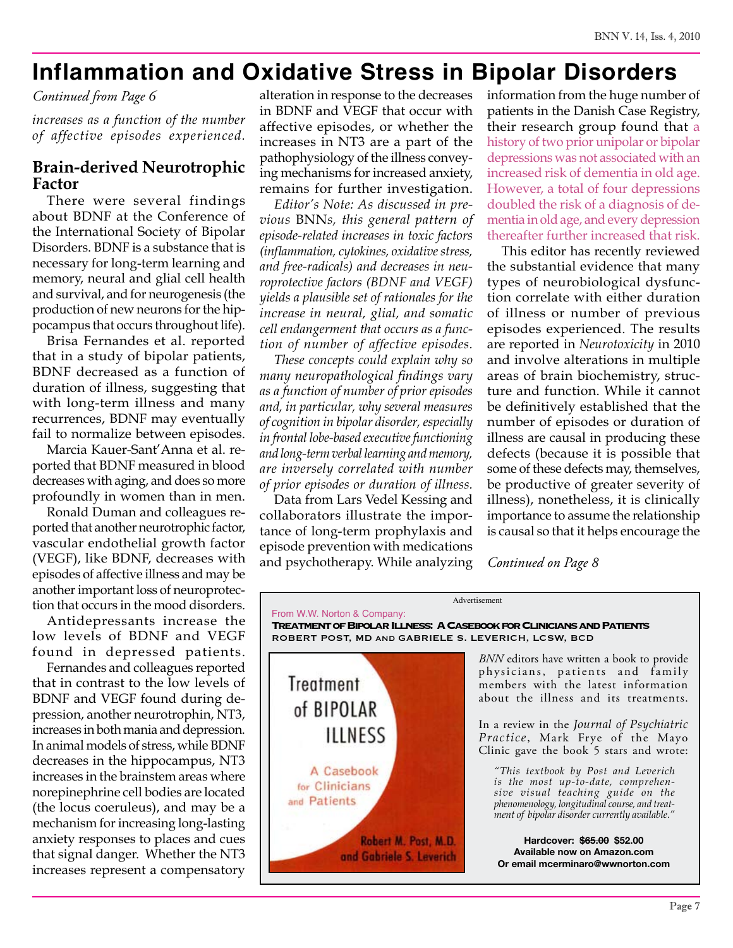# **Inflammation and Oxidative Stress in Bipolar Disorders**

#### *Continued from Page 6*

*increases as a function of the number of affective episodes experienced.*

### **Brain-derived Neurotrophic Factor**

There were several findings about BDNF at the Conference of the International Society of Bipolar Disorders. BDNF is a substance that is necessary for long-term learning and memory, neural and glial cell health and survival, and for neurogenesis (the production of new neurons for the hippocampus that occurs throughout life).

Brisa Fernandes et al. reported that in a study of bipolar patients, BDNF decreased as a function of duration of illness, suggesting that with long-term illness and many recurrences, BDNF may eventually fail to normalize between episodes.

Marcia Kauer-Sant'Anna et al. reported that BDNF measured in blood decreases with aging, and does so more profoundly in women than in men.

Ronald Duman and colleagues reported that another neurotrophic factor, vascular endothelial growth factor (VEGF), like BDNF, decreases with episodes of affective illness and may be another important loss of neuroprotection that occurs in the mood disorders.

Antidepressants increase the low levels of BDNF and VEGF found in depressed patients.

Fernandes and colleagues reported that in contrast to the low levels of BDNF and VEGF found during depression, another neurotrophin, NT3, increases in both mania and depression. In animal models of stress, while BDNF decreases in the hippocampus, NT3 increases in the brainstem areas where norepinephrine cell bodies are located (the locus coeruleus), and may be a mechanism for increasing long-lasting anxiety responses to places and cues that signal danger. Whether the NT3 increases represent a compensatory

alteration in response to the decreases in BDNF and VEGF that occur with affective episodes, or whether the increases in NT3 are a part of the pathophysiology of the illness conveying mechanisms for increased anxiety, remains for further investigation.

*Editor's Note: As discussed in previous* BNN*s, this general pattern of episode-related increases in toxic factors (inflammation, cytokines, oxidative stress, and free-radicals) and decreases in neuroprotective factors (BDNF and VEGF) yields a plausible set of rationales for the increase in neural, glial, and somatic cell endangerment that occurs as a function of number of affective episodes.* 

*These concepts could explain why so many neuropathological findings vary as a function of number of prior episodes and, in particular, why several measures of cognition in bipolar disorder, especially in frontal lobe-based executive functioning and long-term verbal learning and memory, are inversely correlated with number of prior episodes or duration of illness.* 

Data from Lars Vedel Kessing and collaborators illustrate the importance of long-term prophylaxis and episode prevention with medications and psychotherapy. While analyzing information from the huge number of patients in the Danish Case Registry, their research group found that a history of two prior unipolar or bipolar depressions was not associated with an increased risk of dementia in old age. However, a total of four depressions doubled the risk of a diagnosis of dementia in old age, and every depression thereafter further increased that risk.

This editor has recently reviewed the substantial evidence that many types of neurobiological dysfunction correlate with either duration of illness or number of previous episodes experienced. The results are reported in *Neurotoxicity* in 2010 and involve alterations in multiple areas of brain biochemistry, structure and function. While it cannot be definitively established that the number of episodes or duration of illness are causal in producing these defects (because it is possible that some of these defects may, themselves, be productive of greater severity of illness), nonetheless, it is clinically importance to assume the relationship is causal so that it helps encourage the

*Continued on Page 8*

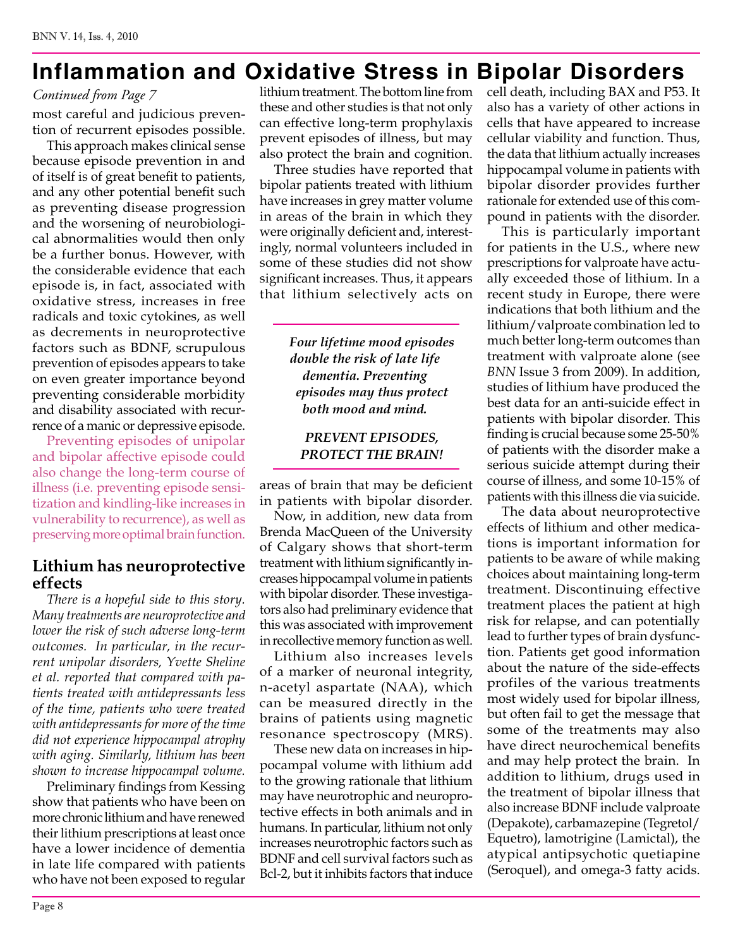# **Inflammation and Oxidative Stress in Bipolar Disorders**

#### *Continued from Page 7*

most careful and judicious prevention of recurrent episodes possible.

This approach makes clinical sense because episode prevention in and of itself is of great benefit to patients, and any other potential benefit such as preventing disease progression and the worsening of neurobiological abnormalities would then only be a further bonus. However, with the considerable evidence that each episode is, in fact, associated with oxidative stress, increases in free radicals and toxic cytokines, as well as decrements in neuroprotective factors such as BDNF, scrupulous prevention of episodes appears to take on even greater importance beyond preventing considerable morbidity and disability associated with recurrence of a manic or depressive episode.

Preventing episodes of unipolar and bipolar affective episode could also change the long-term course of illness (i.e. preventing episode sensitization and kindling-like increases in vulnerability to recurrence), as well as preserving more optimal brain function.

#### **Lithium has neuroprotective effects**

*There is a hopeful side to this story. Many treatments are neuroprotective and lower the risk of such adverse long-term outcomes. In particular, in the recurrent unipolar disorders, Yvette Sheline et al. reported that compared with patients treated with antidepressants less of the time, patients who were treated with antidepressants for more of the time did not experience hippocampal atrophy with aging. Similarly, lithium has been shown to increase hippocampal volume.*

Preliminary findings from Kessing show that patients who have been on more chronic lithium and have renewed their lithium prescriptions at least once have a lower incidence of dementia in late life compared with patients who have not been exposed to regular

lithium treatment. The bottom line from these and other studies is that not only can effective long-term prophylaxis prevent episodes of illness, but may also protect the brain and cognition.

Three studies have reported that bipolar patients treated with lithium have increases in grey matter volume in areas of the brain in which they were originally deficient and, interestingly, normal volunteers included in some of these studies did not show significant increases. Thus, it appears that lithium selectively acts on

> *Four lifetime mood episodes double the risk of late life dementia. Preventing episodes may thus protect both mood and mind.*

#### *PREVENT EPISODES, PROTECT THE BRAIN!*

areas of brain that may be deficient in patients with bipolar disorder.

Now, in addition, new data from Brenda MacQueen of the University of Calgary shows that short-term treatment with lithium significantly increases hippocampal volume in patients with bipolar disorder. These investigators also had preliminary evidence that this was associated with improvement in recollective memory function as well.

Lithium also increases levels of a marker of neuronal integrity, n-acetyl aspartate (NAA), which can be measured directly in the brains of patients using magnetic resonance spectroscopy (MRS).

These new data on increases in hippocampal volume with lithium add to the growing rationale that lithium may have neurotrophic and neuroprotective effects in both animals and in humans. In particular, lithium not only increases neurotrophic factors such as BDNF and cell survival factors such as Bcl-2, but it inhibits factors that induce cell death, including BAX and P53. It also has a variety of other actions in cells that have appeared to increase cellular viability and function. Thus, the data that lithium actually increases hippocampal volume in patients with bipolar disorder provides further rationale for extended use of this compound in patients with the disorder.

This is particularly important for patients in the U.S., where new prescriptions for valproate have actually exceeded those of lithium. In a recent study in Europe, there were indications that both lithium and the lithium/valproate combination led to much better long-term outcomes than treatment with valproate alone (see *BNN* Issue 3 from 2009). In addition, studies of lithium have produced the best data for an anti-suicide effect in patients with bipolar disorder. This finding is crucial because some 25-50% of patients with the disorder make a serious suicide attempt during their course of illness, and some 10-15% of patients with this illness die via suicide.

The data about neuroprotective effects of lithium and other medications is important information for patients to be aware of while making choices about maintaining long-term treatment. Discontinuing effective treatment places the patient at high risk for relapse, and can potentially lead to further types of brain dysfunction. Patients get good information about the nature of the side-effects profiles of the various treatments most widely used for bipolar illness, but often fail to get the message that some of the treatments may also have direct neurochemical benefits and may help protect the brain. In addition to lithium, drugs used in the treatment of bipolar illness that also increase BDNF include valproate (Depakote), carbamazepine (Tegretol/ Equetro), lamotrigine (Lamictal), the atypical antipsychotic quetiapine (Seroquel), and omega-3 fatty acids.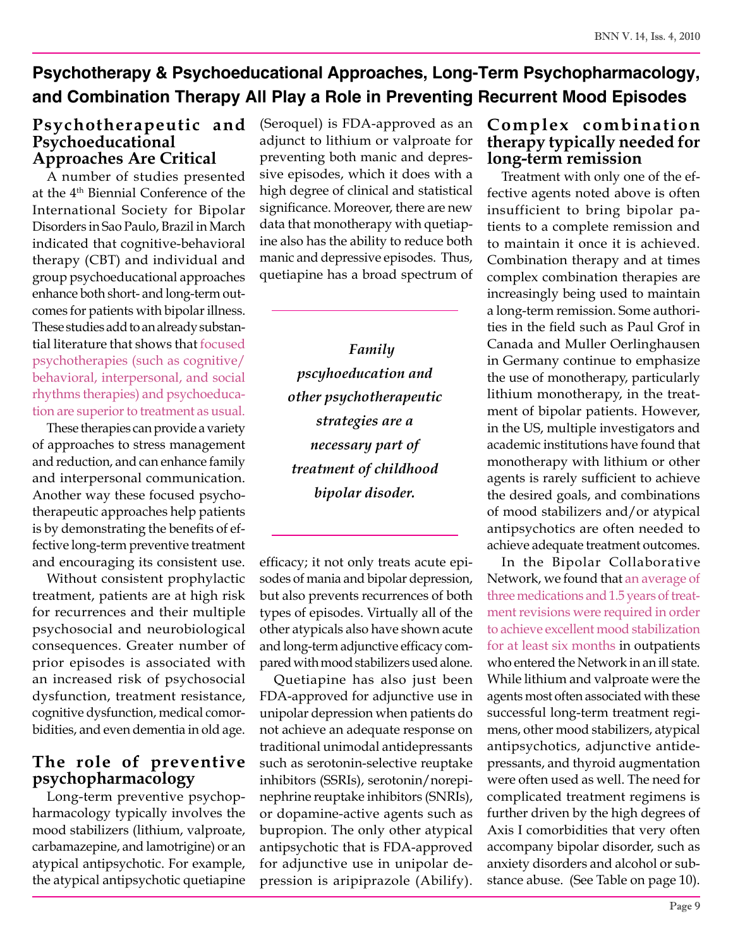### **Psychotherapy & Psychoeducational Approaches, Long-Term Psychopharmacology, and Combination Therapy All Play a Role in Preventing Recurrent Mood Episodes**

### **Psychotherapeutic and Psychoeducational Approaches Are Critical**

A number of studies presented at the 4th Biennial Conference of the International Society for Bipolar Disorders in Sao Paulo, Brazil in March indicated that cognitive-behavioral therapy (CBT) and individual and group psychoeducational approaches enhance both short- and long-term outcomes for patients with bipolar illness. These studies add to an already substantial literature that shows that focused psychotherapies (such as cognitive/ behavioral, interpersonal, and social rhythms therapies) and psychoeducation are superior to treatment as usual.

These therapies can provide a variety of approaches to stress management and reduction, and can enhance family and interpersonal communication. Another way these focused psychotherapeutic approaches help patients is by demonstrating the benefits of effective long-term preventive treatment and encouraging its consistent use.

Without consistent prophylactic treatment, patients are at high risk for recurrences and their multiple psychosocial and neurobiological consequences. Greater number of prior episodes is associated with an increased risk of psychosocial dysfunction, treatment resistance, cognitive dysfunction, medical comorbidities, and even dementia in old age.

### **The role of preventive psychopharmacology**

Long-term preventive psychopharmacology typically involves the mood stabilizers (lithium, valproate, carbamazepine, and lamotrigine) or an atypical antipsychotic. For example, the atypical antipsychotic quetiapine (Seroquel) is FDA-approved as an adjunct to lithium or valproate for preventing both manic and depressive episodes, which it does with a high degree of clinical and statistical significance. Moreover, there are new data that monotherapy with quetiapine also has the ability to reduce both manic and depressive episodes. Thus, quetiapine has a broad spectrum of

> *Family pscyhoeducation and other psychotherapeutic strategies are a necessary part of treatment of childhood bipolar disoder.*

efficacy; it not only treats acute episodes of mania and bipolar depression, but also prevents recurrences of both types of episodes. Virtually all of the other atypicals also have shown acute and long-term adjunctive efficacy compared with mood stabilizers used alone.

Quetiapine has also just been FDA-approved for adjunctive use in unipolar depression when patients do not achieve an adequate response on traditional unimodal antidepressants such as serotonin-selective reuptake inhibitors (SSRIs), serotonin/norepinephrine reuptake inhibitors (SNRIs), or dopamine-active agents such as bupropion. The only other atypical antipsychotic that is FDA-approved for adjunctive use in unipolar depression is aripiprazole (Abilify).

### **Complex combination therapy typically needed for long-term remission**

Treatment with only one of the effective agents noted above is often insufficient to bring bipolar patients to a complete remission and to maintain it once it is achieved. Combination therapy and at times complex combination therapies are increasingly being used to maintain a long-term remission. Some authorities in the field such as Paul Grof in Canada and Muller Oerlinghausen in Germany continue to emphasize the use of monotherapy, particularly lithium monotherapy, in the treatment of bipolar patients. However, in the US, multiple investigators and academic institutions have found that monotherapy with lithium or other agents is rarely sufficient to achieve the desired goals, and combinations of mood stabilizers and/or atypical antipsychotics are often needed to achieve adequate treatment outcomes.

In the Bipolar Collaborative Network, we found that an average of three medications and 1.5 years of treatment revisions were required in order to achieve excellent mood stabilization for at least six months in outpatients who entered the Network in an ill state. While lithium and valproate were the agents most often associated with these successful long-term treatment regimens, other mood stabilizers, atypical antipsychotics, adjunctive antidepressants, and thyroid augmentation were often used as well. The need for complicated treatment regimens is further driven by the high degrees of Axis I comorbidities that very often accompany bipolar disorder, such as anxiety disorders and alcohol or substance abuse. (See Table on page 10).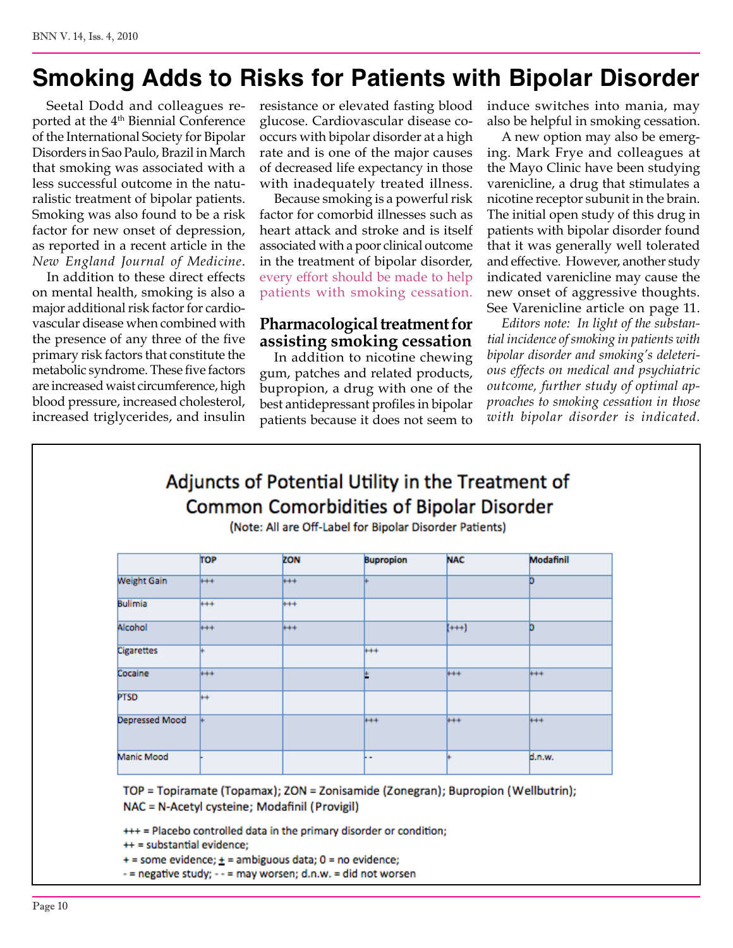# **Smoking Adds to Risks for Patients with Bipolar Disorder**

Seetal Dodd and colleagues reported at the 4<sup>th</sup> Biennial Conference of the International Society for Bipolar Disorders in Sao Paulo, Brazil in March that smoking was associated with a less successful outcome in the naturalistic treatment of bipolar patients. Smoking was also found to be a risk factor for new onset of depression, as reported in a recent article in the *New England Journal of Medicine*.

In addition to these direct effects on mental health, smoking is also a major additional risk factor for cardiovascular disease when combined with the presence of any three of the five primary risk factors that constitute the metabolic syndrome. These five factors are increased waist circumference, high blood pressure, increased cholesterol, increased triglycerides, and insulin

resistance or elevated fasting blood glucose. Cardiovascular disease cooccurs with bipolar disorder at a high rate and is one of the major causes of decreased life expectancy in those with inadequately treated illness.

Because smoking is a powerful risk factor for comorbid illnesses such as heart attack and stroke and is itself associated with a poor clinical outcome in the treatment of bipolar disorder, every effort should be made to help patients with smoking cessation.

### **Pharmacological treatment for assisting smoking cessation**

In addition to nicotine chewing gum, patches and related products, bupropion, a drug with one of the best antidepressant profiles in bipolar patients because it does not seem to

induce switches into mania, may also be helpful in smoking cessation.

A new option may also be emerging. Mark Frye and colleagues at the Mayo Clinic have been studying varenicline, a drug that stimulates a nicotine receptor subunit in the brain. The initial open study of this drug in patients with bipolar disorder found that it was generally well tolerated and effective. However, another study indicated varenicline may cause the new onset of aggressive thoughts. See Varenicline article on page 11.

*Editors note: In light of the substantial incidence of smoking in patients with bipolar disorder and smoking's deleterious effects on medical and psychiatric outcome, further study of optimal approaches to smoking cessation in those with bipolar disorder is indicated.* 

### Adjuncts of Potential Utility in the Treatment of Common Comorbidities of Bipolar Disorder

(Note: All are Off-Label for Bipolar Disorder Patients)

|                       | <b>TOP</b> | ZON     | <b>Bupropion</b> | <b>NAC</b> | Modafinil |
|-----------------------|------------|---------|------------------|------------|-----------|
| <b>Weight Gain</b>    | $+ +$      | $++$    |                  |            | b         |
| <b>Bulimia</b>        | $+ + +$    | $+ + +$ |                  |            |           |
| Alcohol               | $+ +$      | $+ + +$ |                  | $(+ + )$   | b         |
| <b>Cigarettes</b>     |            |         | $***$            |            |           |
| Cocaine               | $+ + +$    |         |                  | $++$       | $+ + +$   |
| <b>PTSD</b>           | ⊬          |         |                  |            |           |
| <b>Depressed Mood</b> |            |         | $++$             | $++$       | $+ +$     |
| Manic Mood            |            |         | <b>F-</b>        |            | d.n.w.    |

TOP = Topiramate (Topamax); ZON = Zonisamide (Zonegran); Bupropion (Wellbutrin); NAC = N-Acetyl cysteine; Modafinil (Provigil)

+++ = Placebo controlled data in the primary disorder or condition;

++ = substantial evidence;

 $+$  = some evidence;  $+$  = ambiguous data; 0 = no evidence;

- = negative study; - - = may worsen; d.n.w. = did not worsen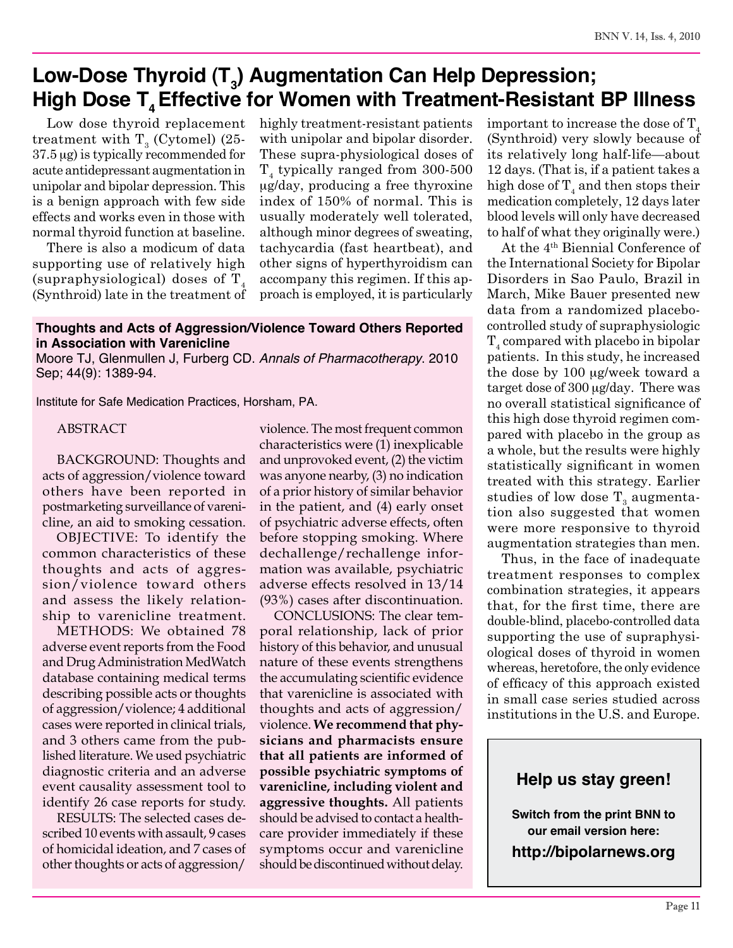### Low-Dose Thyroid (T<sub>3</sub>) Augmentation Can Help Depression; High Dose T<sub>4</sub> Effective for Women with Treatment-Resistant BP Illness

Low dose thyroid replacement treatment with  $\text{T}_{\scriptscriptstyle{3}}$  (Cytomel) (25-37.5 µg) is typically recommended for acute antidepressant augmentation in unipolar and bipolar depression. This is a benign approach with few side effects and works even in those with normal thyroid function at baseline.

There is also a modicum of data supporting use of relatively high (supraphysiological) doses of  $T_4$ (Synthroid) late in the treatment of highly treatment-resistant patients with unipolar and bipolar disorder. These supra-physiological doses of  $T_4$  typically ranged from 300-500 µg/day, producing a free thyroxine index of 150% of normal. This is usually moderately well tolerated, although minor degrees of sweating, tachycardia (fast heartbeat), and other signs of hyperthyroidism can accompany this regimen. If this approach is employed, it is particularly

#### **Thoughts and Acts of Aggression/Violence Toward Others Reported in Association with Varenicline**

Moore TJ, Glenmullen J, Furberg CD. *Annals of Pharmacotherapy*. 2010 Sep; 44(9): 1389-94.

Institute for Safe Medication Practices, Horsham, PA.

ABSTRACT

BACKGROUND: Thoughts and acts of aggression/violence toward others have been reported in postmarketing surveillance of varenicline, an aid to smoking cessation.

OBJECTIVE: To identify the common characteristics of these thoughts and acts of aggression/violence toward others and assess the likely relationship to varenicline treatment.

METHODS: We obtained 78 adverse event reports from the Food and Drug Administration MedWatch database containing medical terms describing possible acts or thoughts of aggression/violence; 4 additional cases were reported in clinical trials, and 3 others came from the published literature. We used psychiatric diagnostic criteria and an adverse event causality assessment tool to identify 26 case reports for study.

RESULTS: The selected cases described 10 events with assault, 9 cases of homicidal ideation, and 7 cases of other thoughts or acts of aggression/

violence. The most frequent common characteristics were (1) inexplicable and unprovoked event, (2) the victim was anyone nearby, (3) no indication of a prior history of similar behavior in the patient, and (4) early onset of psychiatric adverse effects, often before stopping smoking. Where dechallenge/rechallenge information was available, psychiatric adverse effects resolved in 13/14 (93%) cases after discontinuation.

CONCLUSIONS: The clear temporal relationship, lack of prior history of this behavior, and unusual nature of these events strengthens the accumulating scientific evidence that varenicline is associated with thoughts and acts of aggression/ violence. **We recommend that physicians and pharmacists ensure that all patients are informed of possible psychiatric symptoms of varenicline, including violent and aggressive thoughts.** All patients should be advised to contact a healthcare provider immediately if these symptoms occur and varenicline should be discontinued without delay.

important to increase the dose of  $T_A$ (Synthroid) very slowly because of its relatively long half-life—about 12 days. (That is, if a patient takes a high dose of  $T_4$  and then stops their medication completely, 12 days later blood levels will only have decreased to half of what they originally were.)

At the 4th Biennial Conference of the International Society for Bipolar Disorders in Sao Paulo, Brazil in March, Mike Bauer presented new data from a randomized placebocontrolled study of supraphysiologic  $T_4$  compared with placebo in bipolar patients. In this study, he increased the dose by 100 µg/week toward a target dose of 300 µg/day. There was no overall statistical significance of this high dose thyroid regimen compared with placebo in the group as a whole, but the results were highly statistically significant in women treated with this strategy. Earlier studies of low dose  $\mathrm{T}_3$  augmentation also suggested that women were more responsive to thyroid augmentation strategies than men.

Thus, in the face of inadequate treatment responses to complex combination strategies, it appears that, for the first time, there are double-blind, placebo-controlled data supporting the use of supraphysiological doses of thyroid in women whereas, heretofore, the only evidence of efficacy of this approach existed in small case series studied across institutions in the U.S. and Europe.